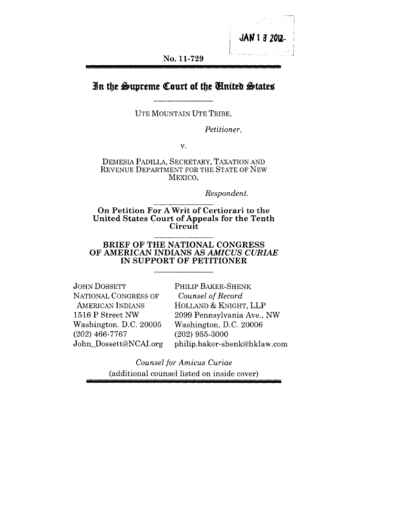

**No. 11-729**

## In the Supreme Court of the *Chaited* States

UTE MOUNTAIN UTE TRIBE,

*Petitioner,*

V.

DEMESIA PADILLA, SECRETARY, TAXATION AND REVENUE DEPARTMENT FOR THE STATE OF NEW MEXICO,

*Respondent.*

On Petition For A Writ of Certiorari to the United States Court of Appeals for the Tenth **Circuit** 

#### **BRIEF OF THE NATIONAL CONGRESS OF AMERICAN INDIANS AS** *AMICUS CURIAE* **IN SUPPORT OF PETITIONER**

| <b>JOHN DOSSETT</b>     | PHILIP BAKER-SHENK           |
|-------------------------|------------------------------|
| NATIONAL CONGRESS OF    | Counsel of Record            |
| <b>AMERICAN INDIANS</b> | HOLLAND & KNIGHT, LLP        |
| 1516 P Street NW        | 2099 Pennsylvania Ave., NW   |
| Washington, D.C. 20005  | Washington, D.C. 20006       |
| $(202)$ 466-7767        | $(202)$ 955-3000             |
| John_Dossett@NCAL.org   | philip.baker-shenk@hklaw.com |

*Counsel for Amicus Curiae* (additional counsel listed on inside cover)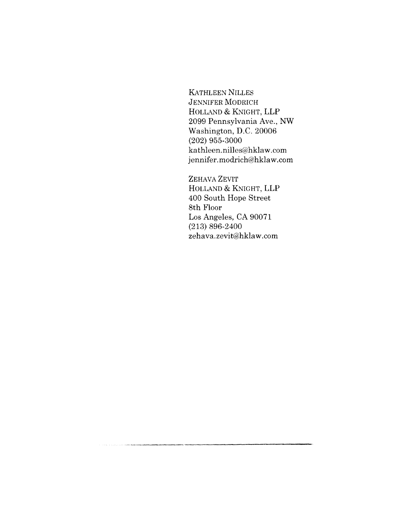KATHLEEN NILLES JENNIFER MODRICH HOLLAND & KNIGHT, LLP 2099 Pennsylvania Ave., NW Washington, D.C. 20006  $(202)$  955-3000 kathleen.nilles@hklaw.com jennifer.modrich@hklaw.com

ZEHAVA ZEVIT HOLLAND & KNIGHT, LLP 400 South Hope Street 8th Floor Los Angeles, CA 90071 (213) 896-2400 zehava, zevit@hklaw.com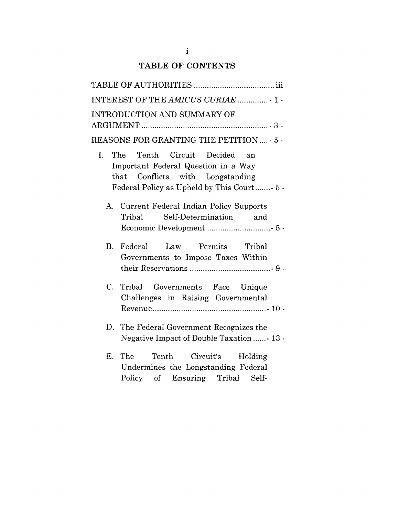## **TABLE OF CONTENTS**

| INTEREST OF THE AMICUS CURIAE  1 -                                                                                                                                      |
|-------------------------------------------------------------------------------------------------------------------------------------------------------------------------|
| INTRODUCTION AND SUMMARY OF                                                                                                                                             |
| REASONS FOR GRANTING THE PETITION  - 5 -                                                                                                                                |
| The Tenth Circuit Decided<br>$I_{\cdot}$<br>an<br>Important Federal Question in a Way<br>that Conflicts with Longstanding<br>Federal Policy as Upheld by This Court 5 - |
| A. Current Federal Indian Policy Supports<br>Self-Determination<br>$\rm Tribal$<br>and                                                                                  |
| Permits Tribal<br>$B_{\cdot}$<br>Federal<br>Law<br>Governments to Impose Taxes Within                                                                                   |
| Tribal Governments Face Unique<br>$C_{\cdot}$<br>Challenges in Raising Governmental                                                                                     |
| D. The Federal Government Recognizes the<br>Negative Impact of Double Taxation  13 -                                                                                    |
| E.<br>The Tenth Circuit's Holding<br>Undermines the Longstanding Federal                                                                                                |

 ${\rm Policy} \quad$  of  $\quad$  Ensuring  $\quad$   $'$ 

 $\mathcal{A}^{\mathcal{A}}$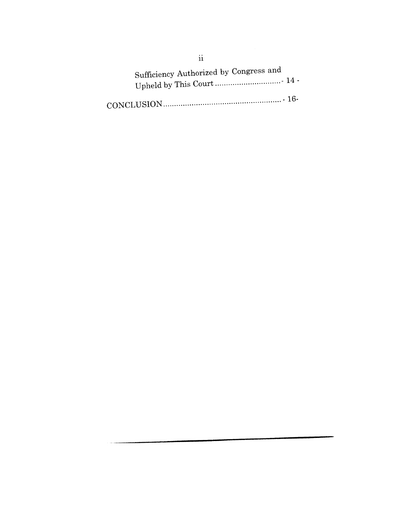Sufficiency Authorized by Congress and Upheld by This Court ..............................- 14 - -16- CONCLUSION ......................................................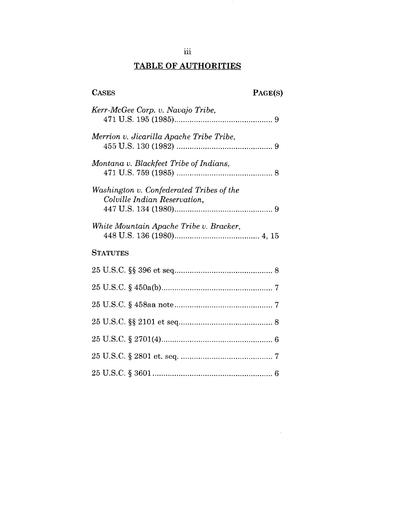# **TABLE OF AUTHORITIES**

# **CASES PAGE(S)**

 $\sim 10^{-1}$ 

 $\sim$   $^{\circ}$ 

| Kerr-McGee Corp. v. Navajo Tribe,                                        |
|--------------------------------------------------------------------------|
| Merrion v. Jicarilla Apache Tribe Tribe,                                 |
| Montana v. Blackfeet Tribe of Indians,                                   |
| Washington v. Confederated Tribes of the<br>Colville Indian Reservation, |
| White Mountain Apache Tribe v. Bracker,                                  |
| <b>STATUTES</b>                                                          |
|                                                                          |
|                                                                          |
|                                                                          |
|                                                                          |
|                                                                          |
|                                                                          |
|                                                                          |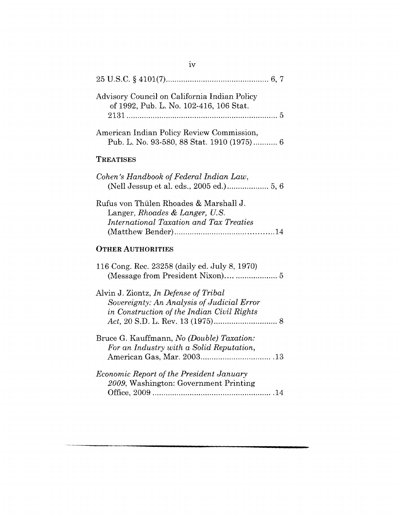| Advisory Council on California Indian Policy<br>of 1992, Pub. L. No. 102-416, 106 Stat.                                           |
|-----------------------------------------------------------------------------------------------------------------------------------|
| American Indian Policy Review Commission,<br>Pub. L. No. 93-580, 88 Stat. 1910 (1975) 6                                           |
| TREATISES                                                                                                                         |
| Cohen's Handbook of Federal Indian Law,                                                                                           |
| Rufus von Thülen Rhoades & Marshall J.<br>Langer, Rhoades & Langer, U.S.<br>International Taxation and Tax Treaties               |
| <b>OTHER AUTHORITIES</b>                                                                                                          |
| 116 Cong. Rec. 23258 (daily ed. July 8, 1970)<br>(Message from President Nixon)  5                                                |
| Alvin J. Ziontz, In Defense of Tribal<br>Sovereignty: An Analysis of Judicial Error<br>in Construction of the Indian Civil Rights |
| Bruce G. Kauffmann, No (Double) Taxation:<br>For an Industry with a Solid Reputation,                                             |
| Economic Report of the President January<br>2009, Washington: Government Printing                                                 |

 $iv$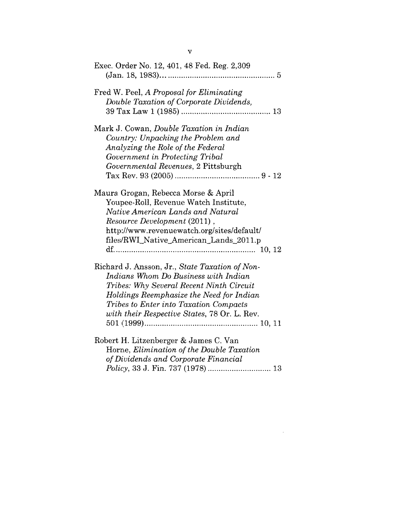| Exec. Order No. 12, 401, 48 Fed. Reg. 2,309                                                                                                                                                                                                                                     |
|---------------------------------------------------------------------------------------------------------------------------------------------------------------------------------------------------------------------------------------------------------------------------------|
| Fred W. Peel, A Proposal for Eliminating<br>Double Taxation of Corporate Dividends,                                                                                                                                                                                             |
| Mark J. Cowan, Double Taxation in Indian<br>Country: Unpacking the Problem and<br>Analyzing the Role of the Federal<br>Government in Protecting Tribal<br>Governmental Revenues, 2 Pittsburgh                                                                                   |
| Maura Grogan, Rebecca Morse & April<br>Youpee-Roll, Revenue Watch Institute,<br>Native American Lands and Natural<br>Resource Development (2011),<br>http://www.revenuewatch.org/sites/default/<br>files/RWI_Native_American_Lands_2011.p                                       |
| Richard J. Ansson, Jr., State Taxation of Non-<br>Indians Whom Do Business with Indian<br>Tribes: Why Several Recent Ninth Circuit<br>Holdings Reemphasize the Need for Indian<br><i>Tribes to Enter into Taxation Compacts</i><br>with their Respective States, 78 Or. L. Rev. |
| Robert H. Litzenberger & James C. Van<br>Horne, Elimination of the Double Taxation<br>of Dividends and Corporate Financial                                                                                                                                                      |

 $\mathcal{L}^{\text{max}}_{\text{max}}$  and  $\mathcal{L}^{\text{max}}_{\text{max}}$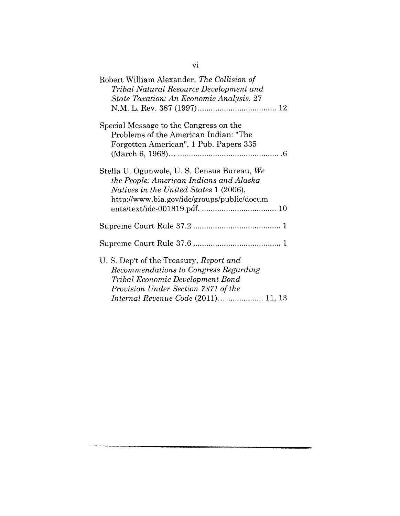| Robert William Alexander, The Collision of<br>Tribal Natural Resource Development and<br>State Taxation: An Economic Analysis, 27                                                                  |
|----------------------------------------------------------------------------------------------------------------------------------------------------------------------------------------------------|
| Special Message to the Congress on the<br>Problems of the American Indian: "The<br>Forgotten American", 1 Pub. Papers 335                                                                          |
| Stella U. Ogunwole, U. S. Census Bureau, We<br>the People: American Indians and Alaska<br>Natives in the United States 1 (2006),<br>http://www.bia.gov/idc/groups/public/docum                     |
|                                                                                                                                                                                                    |
|                                                                                                                                                                                                    |
| U. S. Dep't of the Treasury, Report and<br>Recommendations to Congress Regarding<br>Tribal Economic Development Bond<br>Provision Under Section 7871 of the<br>Internal Revenue Code (2011) 11, 13 |

vi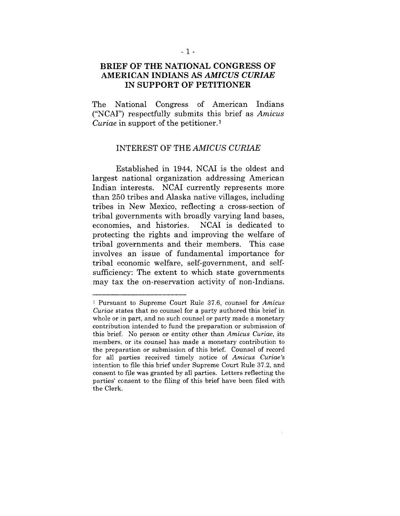### **BRIEF OF THE NATIONAL CONGRESS OF AMERICAN INDIANS AS** *AMICUS CURIAE* **IN SUPPORT OF PETITIONER**

The National Congress of American Indians ("NCAI") respectfully submits this brief as *Amicus Curiae* in support of the petitioner.<sup>1</sup>

#### INTEREST OF THE *AMICUS CURIAE*

Established in 1944, NCAI is the oldest and largest national organization addressing American Indian interests. NCAI currently represents more than 250 tribes and Alaska native villages, including tribes in New Mexico, reflecting a cross-section of tribal governments with broadly varying land bases, economies, and histories. NCAI is dedicated to protecting the rights and improving the welfare of tribal governments and their members. This case involves an issue of fundamental importance for tribal economic welfare, self-government, and selfsufficiency: The extent to which state governments may tax the on-reservation activity of non-Indians.

<sup>1</sup> Pursuant to Supreme Court Rule 37.6, counsel for *Amicus Curiae* states that no counsel for a party authored this brief in whole or in part, and no such counsel or party made a monetary contribution intended to fund the preparation or submission of this brief. No person or entity other than *Amicus Curiae,* its members, or its counsel has made a monetary contribution to the preparation or submission of this brief. Counsel of record for all parties received timely notice of *Amicus Curiae's* intention to file this brief under Supreme Court Rule 37.2, and consent to file was granted by all parties. Letters reflecting the parties' consent to the filing of this brief have been filed with the Clerk.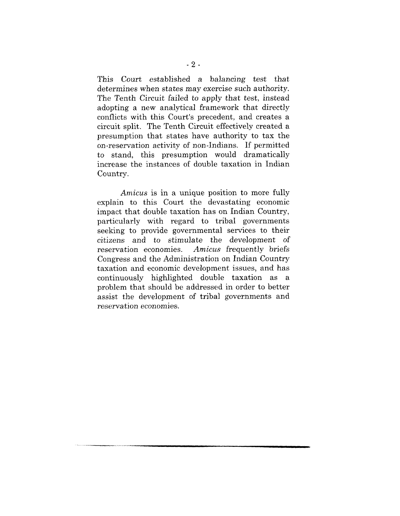This Court established a balancing test that determines when states may exercise such authority. The Tenth Circuit failed to apply that test, instead adopting a new analytical framework that directly conflicts with this Court's precedent, and creates a circuit split. The Tenth Circuit effectively created a presumption that states have authority to tax the on-reservation activity of non-Indians. If permitted to stand, this presumption would dramatically increase the instances of double taxation in Indian Country.

*Amicus* is in a unique position to more fully explain to this Court the devastating economic impact that double taxation has on Indian Country, particularly with regard to tribal governments seeking to provide governmental services to their *citizens* and to stimulate the *development of* Amicus frequently briefs. Congress and the Administration on Indian Country taxation and economic development issues, and has continuously highlighted double taxation as a problem that should be addressed in order to better assist the development of tribal governments and reservation economies.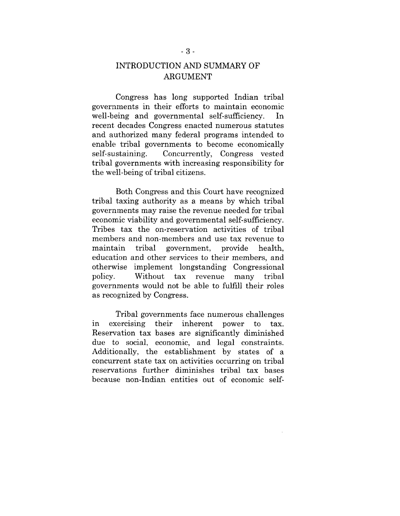## INTRODUCTION AND SUMMARY OF ARGUMENT

Congress has long supported Indian tribal governments in their efforts to maintain economic well-being and governmental self-sufficiency. In recent decades Congress enacted numerous statutes and authorized many federal programs intended to enable; tribal governments to become economically self-sustaining. Concurrently, Congress vested tribal governments with increasing responsibility for the well-being of tribal citizens.

Both Congress and this Court have recognized tribal taxing authority as a means by which tribal governments may raise the revenue needed for tribal economic viability and governmental self-sufficiency. Tribes tax the on-reservation activities of tribal members and non-members and use tax revenue to maintain tribal government, provide health. education and other services to their members, and otherwise implement longstanding Congressional policy. Without tax revenue many tribal governments would not be able to fulfill their roles as recognized by Congress.

Tribal governments face numerous challenges in exercising their inherent power to tax. Reservation tax bases are significantly diminished due to social, economic, and legal constraints. Additionally, the establishment by states of a concurrent state tax on activities occurring on tribal reservations further diminishes tribal tax bases because non-Indian entities out of economic self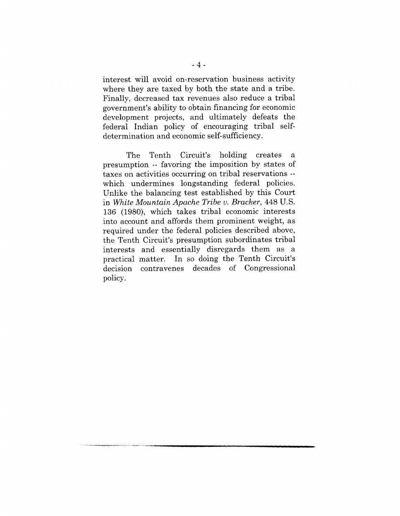interest will avoid on-reservation business activity where they are taxed by both the state and a tribe. Finally, decreased tax revenues also reduce a tribal government's ability to obtain financing for economic development projects, and ultimately defeats the federal Indian policy of encouraging tribal selfdetermination and economic self-sufficiency.

The Tenth Circuit's holding creates a presumption -- favoring the imposition by states of taxes on activities occurring on tribal reservations - which undermines longstanding federal policies. Unlike the balancing test established by this Court in *White Mountain Apache Tribe v. Bracker,* 448 U.S. 136 (1980), which takes tribal economic interests into account and affords them prominent weight, as required under the federal policies described above, the Tenth Circuit's presumption subordinates tribal interests and essentially disregards them as a practical matter. In so doing the Tenth Circuit's decision contravenes decades of Congressional policy.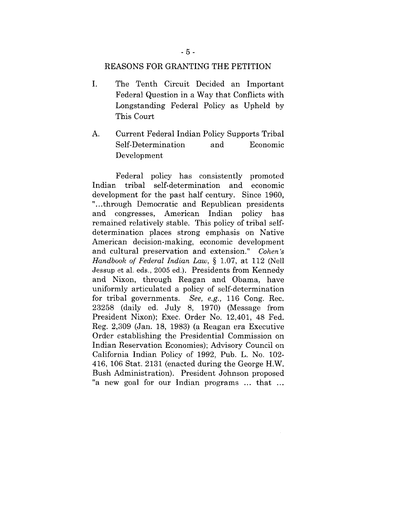#### REASONS FOR GRANTING THE PETITION

- $\mathbf{I}$ . The Tenth Circuit Decided an Important Federal Question in a Way that Conflicts with Longstanding Federal Policy as Upheld by This Court
- A. Current Federal Indian Policy Supports Tribal Self-Determination and Economic Development

Federal policy has consistently promoted Indian. tribal self-determination and economic development for the past half century. Since 1960, "...through Democratic and Republican presidents and congresses, American Indian policy has remained relatively stable. This policy of tribal selfdetermination places strong emphasis on Native American decision-making, economic development and cultural preservation and extension." *Cohen's Handbook of Federal Indian Law, §* 1.07, at 112 (Nell Jessup et al. eds., 2005 ed.). Presidents from Kennedy and Nixon, through Reagan and Obama, have uniformly articulated a policy of self-determination for tribal governments. *See, e.g.,* 116 Cong. Rec. 23258 (daily ed. July 8, 1970) (Message from Presideat Nixon); Exec. Order No. 12,401, 48 Fed. Reg. 2,309 (Jan. 18, 1983) (a Reagan era Executive Order establishing the Presidential Commission on Indian Reservation Economies); Advisory Council on California Indian Policy of 1992, Pub. L. No. 102- 416, 106 Stat. 2131 (enacted during the George H.W. Bush Administration). President Johnson proposed "a new goal for our Indian programs ... that ...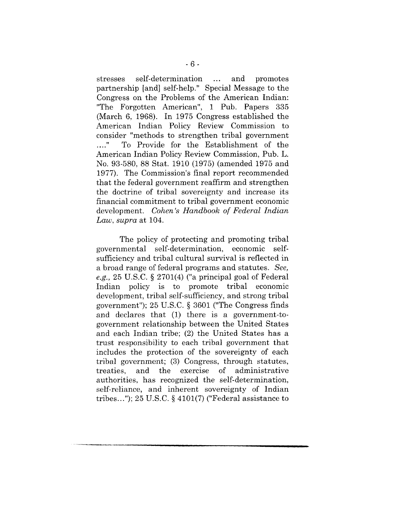stresses self-determination ... and promotes partnership [and] self-help." Special Message to the Congress on the Problems of the American Indian: "The Forgotten American", 1 Pub. Papers 335 (March 6, 1968). In 1975 Congress established the American Indian Policy Review Commission to consider "methods to strengthen tribal government<br>..." To Provide for the Establishment of the To Provide for the Establishment of the American Indian Policy Review Commission, Pub. L. No. 93-580, 88 Stat. 1910 (1975) (amended 1975 and 1977). The Commission's final report recommended that the federal government reaffirm and strengthen the doctrine of tribal sovereignty and increase its financial commitment to tribal government economic development. *Cohen's Handbook of Federal Indian Law, supra* at 104.

The policy of protecting and promoting tribal governmental self-determination, economic selfsufficiency and tribal cultural survival is reflected in a broad range of federal programs and statutes. *See, e.g.,* 25 U.S.C. § 2701(4) ("a principal goal of Federal Indian policy is to promote tribal economic development, tribal self-sufficiency, and strong tribal government"); 25 U.S.C. § 3601 ("The Congress finds and declares that (1) there is a government-togovernment relationship between the United States and each Indian tribe; (2) the United States has a trust responsibility to each tribal government that includes the protection of the sovereignty of each tribal government; (3) Congress, through statutes, treaties, and the exercise of administrative authorities, has recognized the self-determination, self-reliance, and inherent sovereignty of Indian tribes..."); 25 U.S.C.  $\S$  4101(7) ("Federal assistance to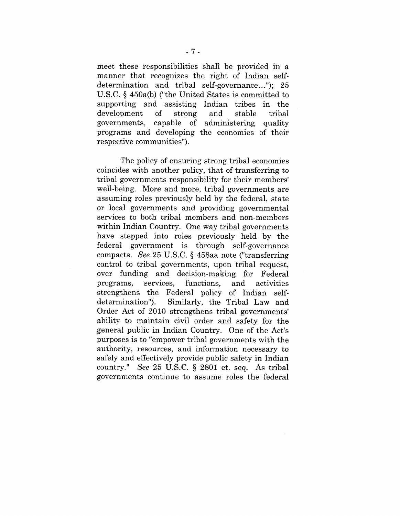meet these responsibilities shall be provided in a manner that recognizes the right of Indian selfdetermination and tribal self-governance..."); 25 U.S.C. § 450a(b) ("the United States is committed to supporting and assisting Indian tribes in the development of strong and stable tribal governments, capable of administering quality programs and developing the economies of their respective communities").

The policy of ensuring strong tribal economies coincides with another policy, that of transferring to tribal governments responsibility for their members' well-being. More and more, tribal governments are assuming roles previously held by the federal, state or local governments and providing governmental services to both tribal members and non-members within Indian Country. One way tribal governments have stepped into roles previously held by the federal government is through self-governance compacts. *See* 25 U.S.C. § 458aa note ("transferring control to tribal governments, upon tribal request, over funding and decision-making for Federal prograras, services, functions, and activities strengthens the Federal policy of Indian self-<br>determination"). Similarly, the Tribal Law and Similarly, the Tribal Law and Order Act of 2010 strengthens tribal governments' ability to maintain civil order and safety for the general public in Indian Country. One of the Act's purposes is to "empower tribal governments with the authority, resources, and information necessary to safely and effectively provide public safety in Indian country." *See* 25 U.S.C. § 2801 et. seq. As tribal governments continue to assume roles the federal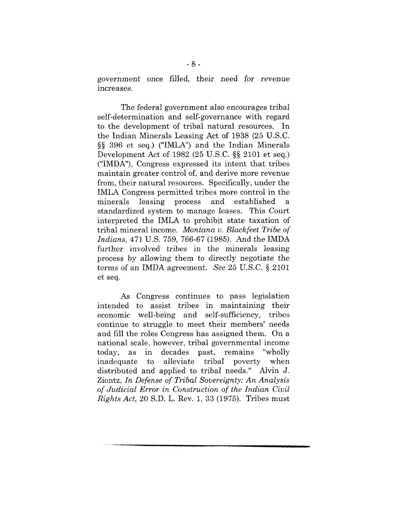government once filled, their need for revenue increases.

The federal government also encourages tribal self-determination and self-governance with regard to the development of tribal natural resources. In the Indian Minerals Leasing Act of 1938 (25 U.S.C. §§ 396 et seq.) ("IMLA") and the Indian Minerals Development Act of 1982 (25 U.S.C. §§ 2101 et seq.) ("IMDA"), Congress expressed its intent that tribes maintain greater control of, and derive more revenue from, their natural resources. Specifically, under the IMLA Congress permitted tribes more control in the minerals leasing process established standardized system to manage leases. This Court interpreted the IMLA to prohibit state taxation of tribal mineral income. *Montana v. Blackfeet Tribe of lndians,* 471 U.S. 759, 766-67 (1985). And the IMDA further involved tribes in the minerals leasing process by allowing them to directly negotiate the terms of an IMDA agreement. *See* 25 U.S.C. § 2101 et seq.

As Congress continues to pass legislation intended to assist tribes in maintaining their economic well-being and self-sufficiency, tribes continue to struggle to meet their members' needs and fill the roles Congress has assigned them. On a national scale, however, tribal governmental income today, as in decades past, remains "wholly inadequate to alleviate tribal poverty when distributed and applied to tribal needs." Alvin J. Ziontz, *In Defense of Tribal Sovereignty: An Analysis of Judicial* Error *in Construction of the Indian Civil Rights Act, 20* S.D.L. Rev. 1, 33 (1975). Tribes must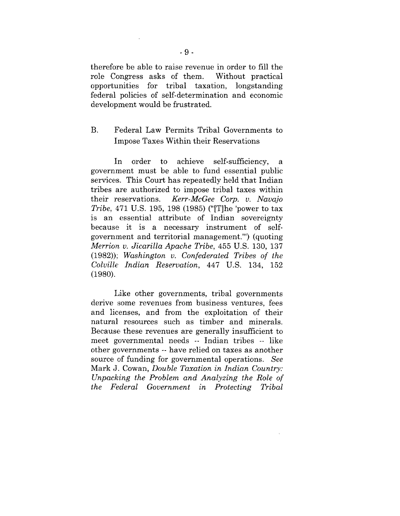therefore be able to raise revenue in order to fill the role Congress asks of them. Without practical opportunities for tribal taxation, longstanding federal policies of self-determination and economic development would be frustrated.

## B. Federal Law Permits Tribal Governments to Impose Taxes Within their Reservations

In order to achieve self-sufficiency, a government must be able to fund essential public services. This Court has repeatedly held that Indian tribes are authorized to impose tribal taxes within their reservations. *Kerr-McGee Corp. v. Navajo Tribe,* 471 U.S. 195, 198 (1985) ("IT]he 'power to tax is an essential attribute of Indian sovereignty because it is a necessary instrument of selfgovernment and territorial management.'") (quoting *Merrion v. Jicarilla Apache Tribe,* 455 U.S. 130, 137 (1982)); *Washington v. Confederated Tribes of the Colville Indian Reservation,* 447 U.S. 134, 152 (198o).

Like other governments, tribal governments derive some revenues from business ventures, fees and licenses, and from the exploitation of their natural resources such as timber and minerals. Because these revenues are generally insufficient to meet governmental needs -- Indian tribes -- like other governments -- have relied on taxes as another source of funding for governmental operations. *See* Mark J. Cowan, *Double Taxation in Indian Country: Unpacking the Problem and Analyzing the Role of the Federal Government in Protecting Tribal*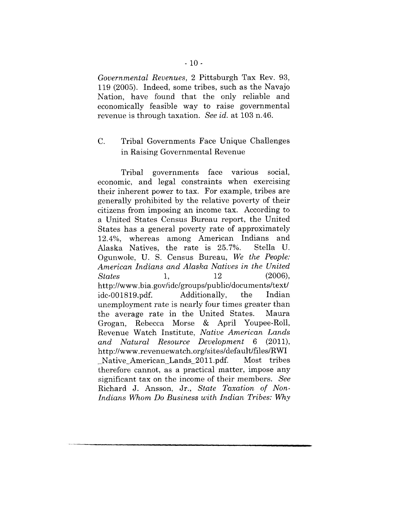*Governmental Revenues,* 2 Pittsburgh Tax Rev. 93, 119 (2005). Indeed, some tribes, such as the Navajo Nation, have found that the only reliable and economically feasible way to raise governmental revenue is through taxation. *See id.* at 103 n.46.

#### $C_{\cdot}$ Tribal Governments Face Unique Challenges in Raising Governmental Revenue

Tribal governments face various social, economic, and legal constraints when exercising their inherent power to tax. For example, tribes are generally prohibited by the relative poverty of their citizens from imposing an income tax. According to a United States Census Bureau report, the United States has a general poverty rate of approximately 12.4%, whereas among American Indians and<br>Alaska Natives, the rate is 25.7%. Stella U. Alaska Natives, the rate is 25.7%. Ogunwole, U. S. Census Bureau, *We the People: American Indians and Alaska Natives in the United States* 1, *http://www.bia.gov/idc/groups/public/documents/text!* idc-001819.pdf. Additionally, the Indian unemployment rate is nearly four times greater than the average rate in the United States. Maura Grogan, Rebecca Morse & April Youpee-Roll, Revenue Watch Institute, *Native American Lands and Natural Resource Development* 6 (2011), *http://www.revenuewatch.org/sites/default/files/RWI* Native American Lands 2011.pdf. Most tribes therefore cannot, as a practical matter, impose any significant tax on the income of their members. *See* Richard J. Ansson, Jr., *State Taxation of Non-Indians Whom Do Business with Indian Tribes: Why*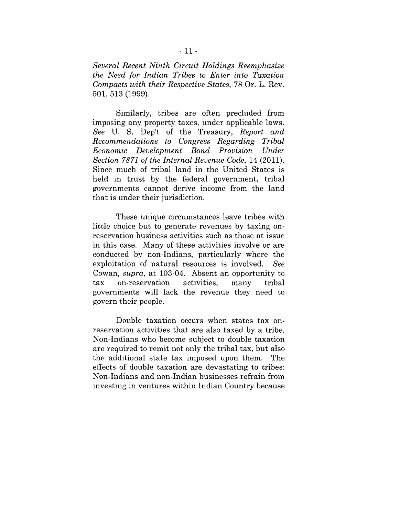*Several Recent Ninth Circuit Holdings Reemphasize the Need for Indian Tribes to Enter into Taxation Compacts with their Respective States,* 78 Or. L. Rev. 501,513 (1999).

Similarly, tribes are often precluded from imposing any property taxes, under applicable laws. *See* U. S. Dep't of the Treasury, *Report and Recommendations to Congress Regarding Tribal Economic Development Bond Provision Under Section 7871 of the Internal Revenue Code,* 14 (2011). Since much of tribal land in the United States is held in trust by the federal government, tribal governments cannot derive income from the land that is under their jurisdiction.

These unique circumstances leave tribes with little choice but to generate revenues by taxing onreservation business activities such as those at issue in this case. Many of these activities involve or are conducted by non-Indians, particularly where the exploitation of natural resources is involved. *See* Cowan, *supra,* at 103-04. Absent an opportunity to tax on-reservation activities, tax on-reservation activities, many tribal<br>governments will lack the revenue they need to tribal govern their people.

Double taxation occurs when states tax onreservation activities that are also taxed by a tribe. Non-Indians who become subject to double taxation are required to remit not only the tribal tax, but also the additional state tax imposed upon them. The effects of double taxation are devastating to tribes: Non-Indians and non-Indian businesses refrain from investing in ventures within Indian Country because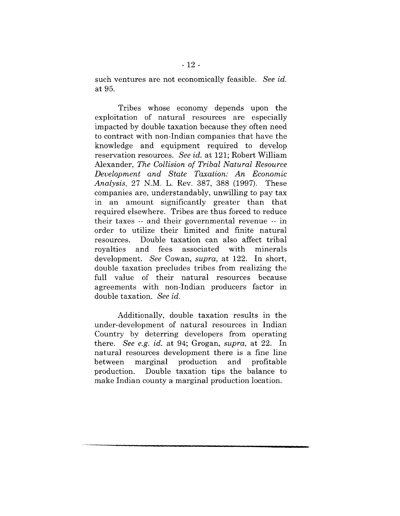such ventures are not economically feasible. *See id.* at 95.

Tribes whose economy depends upon the exploitation of natural resources are especially impacted by double taxation because they often need to contract with non-Indian companies that have the knowledge and equipment required to develop reservation resources. *See id.* at 121; Robert William Alexander, *The Collision of Tribal Natural Resource Development and State Taxation: An Economic Analysis,* 27 N.M.L. Rev. 387, 388 (1997). These companies are, understandably, unwilling to pay tax in an amount significantly greater than that required elsewhere. Tribes are thus forced to reduce their taxes -- and their governmental revenue -- in order to utilize their limited and finite natural resources. Double taxation can also affect tribal royalties and fees associated with minerals development. *See* Cowan, *supra,* at 122. In short, double taxation precludes tribes from realizing the full value of their natural resources because agreements with non-Indian producers factor in double taxation. *See id.*

Additionally, double taxation results in the under-development of natural resources in Indian Country by deterring developers from operating there. *See e.g. id.* at 94; Grogan, *supra,* at 22. In natural resources development there is a fine line between marginal production and profitable production. Double taxation tips the balance to make Indian county a marginal production location.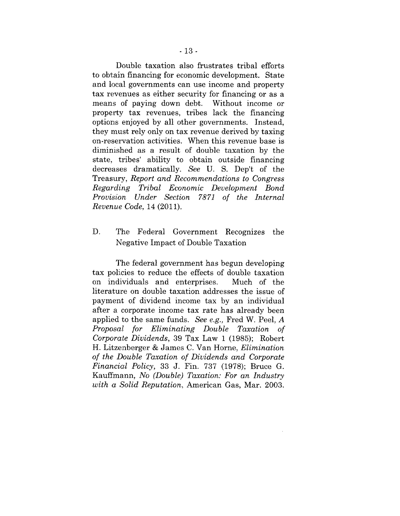Double taxation also frustrates tribal efforts to obtain financing for economic development. State and local governments can use income and property tax revenues as either security for financing or as a means of paying down debt. Without income or property tax revenues, tribes lack the financing options enjoyed by all other governments. Instead, they must rely only on tax revenue derived by taxing on-reservation activities. When this revenue base is diminished as a result of double taxation by the state, tribes' ability to obtain outside financing decreases dramatically. *See* U. S. Dep't of the Treasury, *Report and Recommendations to Congress Regarding Tribal Economic Development Bond Provision Under Section 7871 of the Internal Revenue Code,* 14 (2011).

#### D. The Federal Government Recognizes the Negative Impact of Double Taxation

The federal government has begun developing tax policies to reduce the effects of double taxation on individuals and enterprises. Much of the literature on double taxation addresses the issue of payment of dividend income tax by an individual after a corporate income tax rate has already been applied to the same funds. *See e.g.,* Fred W. Peel, A *Proposal for Eliminating Double Taxation of Corporate Dividends,* 39 Tax Law 1 (1985); Robert H. Litzenberger & James C. Van Horne, *Elimination of the Double Taxation of Dividends and Corporate Financial Policy,* 33 J. Fin. 737 (1978); Bruce G. Kauffmann, *No (Double) Taxation: For an Industry with a Solid Reputation,* American Gas, Mar. 2003.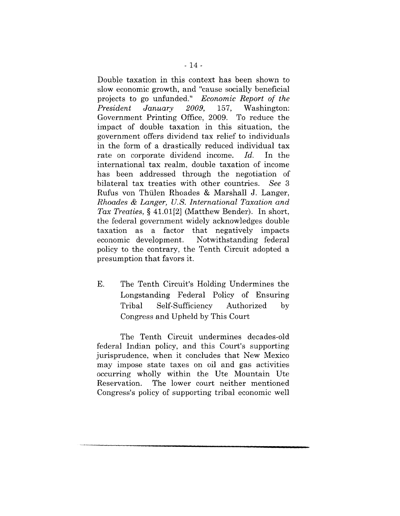Double taxation in this context has been shown to slow economic growth, and "cause socially beneficial projects to go unfunded." *Economic Report of the President January 2009,* 157, Washington: Government Printing Office, 2009. To reduce the impact of double taxation in this situation, the government offers dividend tax relief to individuals in the form of a drastically reduced individual tax rate on corporate dividend income. *Id.* In the international tax realm, double taxation of income has been addressed through the negotiation of bilateral tax treaties with other countries. *See 3* Rufus von Thiilen Rhoades & Marshall J. Langer, *Rhoades & Langer, U.S. International Taxation and Tax Treaties, §* 41.0112] (Matthew Bender). In short, the federal government widely acknowledges double taxation as a factor that negatively impacts economic development. Notwithstanding federal policy to the contrary, the Tenth Circuit adopted a presumption that favors it.

E. The Tenth Circuit's Holding Undermines the Longstanding Federal Policy of Ensuring Tribal Self-Sufficiency Authorized by  $\mathbf{b}$ v Congress and Upheld by This Court

The Tenth Circuit undermines decades-old federal Indian policy, and this Court's supporting jurisprudence, when it concludes that New Mexico may impose state taxes on oil and gas activities occurring wholly within the Ute Mountain Ute Reservation. The lower court neither mentioned Congress's policy of supporting tribal economic well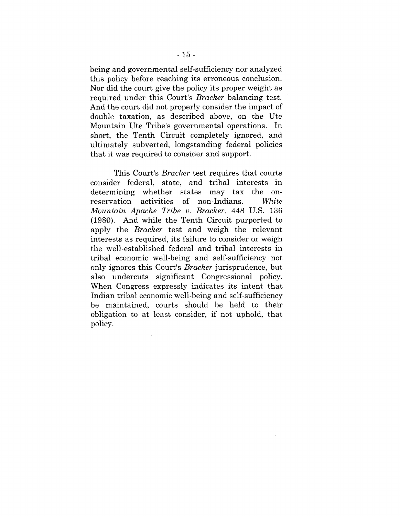being and governmental self-sufficiency nor analyzed this policy before reaching its erroneous conclusion. Nor did the court give the policy its proper weight as required under this Court's *Bracker* balancing test. And the court did not properly consider the impact of double taxation, as described above, on the Ute Mountain Ute Tribe's governmental operations. In short, the Tenth Circuit completely ignored, and ultimately subverted, longstanding federal policies that it was required to consider and support.

This Court's *Bracker* test requires that courts consider federal, state, and tribal interests in determining whether states may tax the onreservation activities of non-Indians. White *Mountain Apache Tribe v. Bracker,* 448 U.S. 136 (1980). And while the Tenth Circuit purported to apply the *Bracker* test and weigh the relevant interests as required, its failure to consider or weigh the well-established federal and tribal interests in tribal economic well-being and self-sufficiency not only ignores this Court's *Bracker* jurisprudence, but also undercuts significant Congressional policy. When Congress expressly indicates its intent that Indian tribal economic well-being and self-sufficiency be maintained, courts should be held to their obligation to at least consider, if not uphold, that policy.